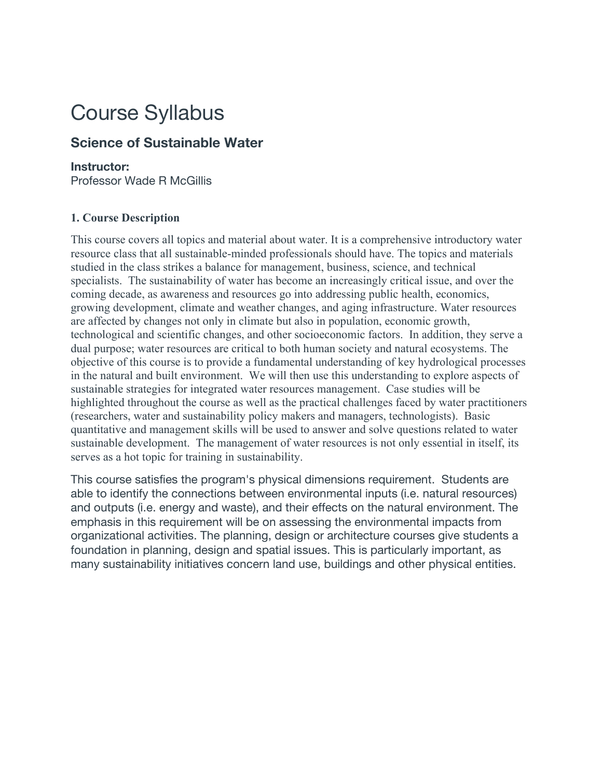# Course Syllabus

# **Science of Sustainable Water**

#### **Instructor:**

Professor Wade R McGillis

#### **1. Course Description**

This course covers all topics and material about water. It is a comprehensive introductory water resource class that all sustainable-minded professionals should have. The topics and materials studied in the class strikes a balance for management, business, science, and technical specialists. The sustainability of water has become an increasingly critical issue, and over the coming decade, as awareness and resources go into addressing public health, economics, growing development, climate and weather changes, and aging infrastructure. Water resources are affected by changes not only in climate but also in population, economic growth, technological and scientific changes, and other socioeconomic factors. In addition, they serve a dual purpose; water resources are critical to both human society and natural ecosystems. The objective of this course is to provide a fundamental understanding of key hydrological processes in the natural and built environment. We will then use this understanding to explore aspects of sustainable strategies for integrated water resources management. Case studies will be highlighted throughout the course as well as the practical challenges faced by water practitioners (researchers, water and sustainability policy makers and managers, technologists). Basic quantitative and management skills will be used to answer and solve questions related to water sustainable development. The management of water resources is not only essential in itself, its serves as a hot topic for training in sustainability.

This course satisfies the program's physical dimensions requirement. Students are able to identify the connections between environmental inputs (i.e. natural resources) and outputs (i.e. energy and waste), and their effects on the natural environment. The emphasis in this requirement will be on assessing the environmental impacts from organizational activities. The planning, design or architecture courses give students a foundation in planning, design and spatial issues. This is particularly important, as many sustainability initiatives concern land use, buildings and other physical entities.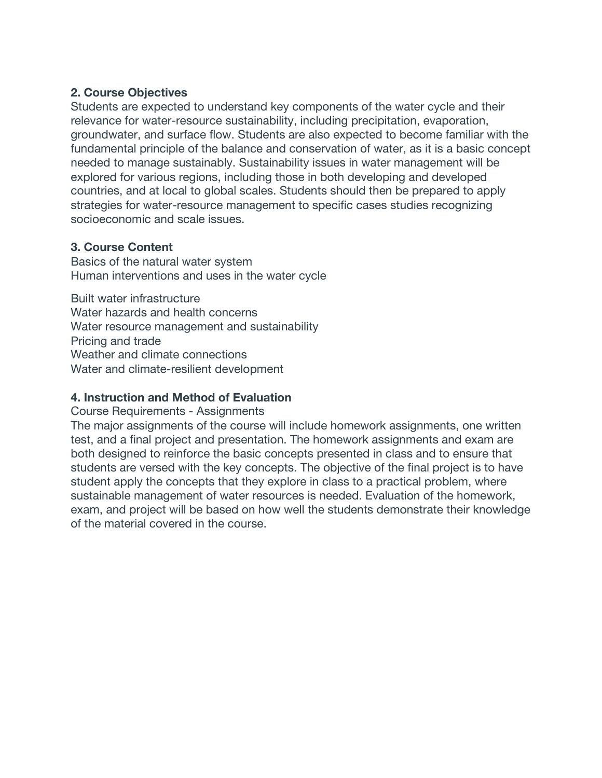## **2. Course Objectives**

Students are expected to understand key components of the water cycle and their relevance for water-resource sustainability, including precipitation, evaporation, groundwater, and surface flow. Students are also expected to become familiar with the fundamental principle of the balance and conservation of water, as it is a basic concept needed to manage sustainably. Sustainability issues in water management will be explored for various regions, including those in both developing and developed countries, and at local to global scales. Students should then be prepared to apply strategies for water-resource management to specific cases studies recognizing socioeconomic and scale issues.

### **3. Course Content**

Basics of the natural water system Human interventions and uses in the water cycle

Built water infrastructure Water hazards and health concerns Water resource management and sustainability Pricing and trade Weather and climate connections Water and climate-resilient development

## **4. Instruction and Method of Evaluation**

Course Requirements - Assignments

The major assignments of the course will include homework assignments, one written test, and a final project and presentation. The homework assignments and exam are both designed to reinforce the basic concepts presented in class and to ensure that students are versed with the key concepts. The objective of the final project is to have student apply the concepts that they explore in class to a practical problem, where sustainable management of water resources is needed. Evaluation of the homework, exam, and project will be based on how well the students demonstrate their knowledge of the material covered in the course.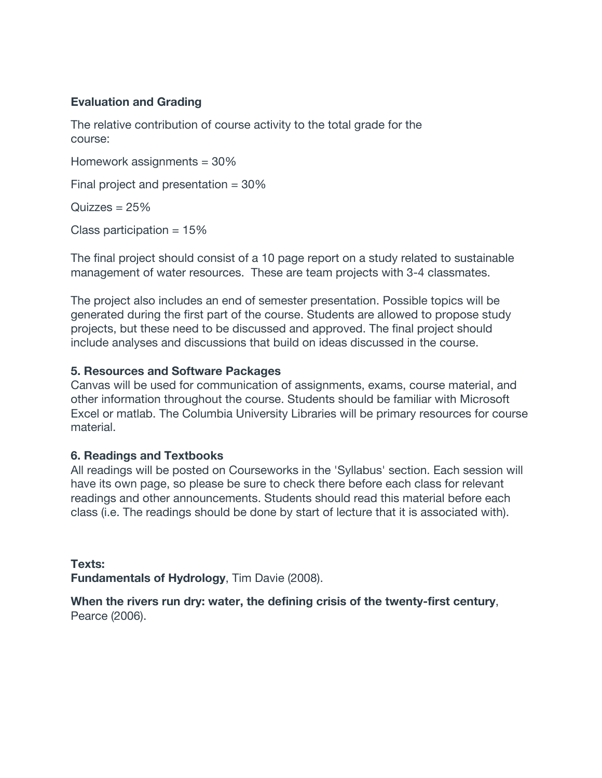### **Evaluation and Grading**

The relative contribution of course activity to the total grade for the course:

Homework assignments = 30%

Final project and presentation = 30%

 $Quizzes = 25%$ 

Class participation  $= 15\%$ 

The final project should consist of a 10 page report on a study related to sustainable management of water resources. These are team projects with 3-4 classmates.

The project also includes an end of semester presentation. Possible topics will be generated during the first part of the course. Students are allowed to propose study projects, but these need to be discussed and approved. The final project should include analyses and discussions that build on ideas discussed in the course.

#### **5. Resources and Software Packages**

Canvas will be used for communication of assignments, exams, course material, and other information throughout the course. Students should be familiar with Microsoft Excel or matlab. The Columbia University Libraries will be primary resources for course material.

#### **6. Readings and Textbooks**

All readings will be posted on Courseworks in the 'Syllabus' section. Each session will have its own page, so please be sure to check there before each class for relevant readings and other announcements. Students should read this material before each class (i.e. The readings should be done by start of lecture that it is associated with).

#### **Texts:**

**Fundamentals of Hydrology**, Tim Davie (2008).

#### **When the rivers run dry: water, the defining crisis of the twenty-first century**, Pearce (2006).